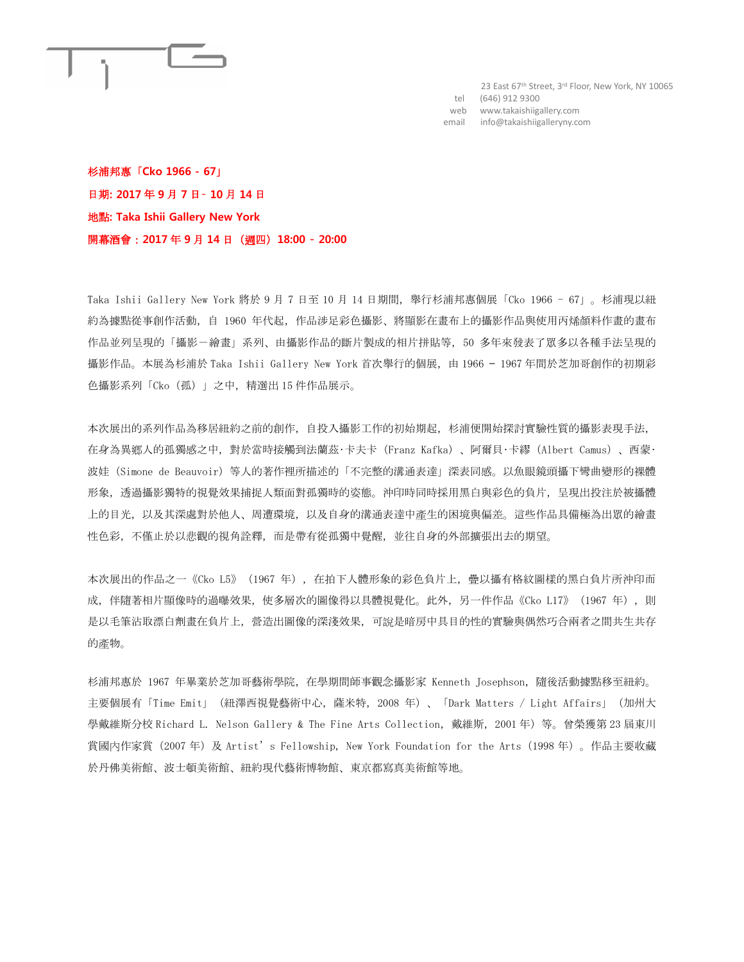

23 East 67<sup>th</sup> Street, 3<sup>rd</sup> Floor, New York, NY 10065 tel (646) 912 9300 web www.takaishiigallery.com email info@takaishiigalleryny.com

杉浦邦惠「**Cko 1966 - 67**」 日期**: 2017** 年 **9** 月 **7** 日– **10** 月 **14** 日 地點**: Taka Ishii Gallery New York** 開幕酒會:**2017** 年 **9** 月 **14** 日(週四)**18:00** – **20:00**

Taka Ishii Gallery New York 將於 9 月 7 日至 10 月 14 日期間,舉行杉浦邦惠個展「Cko 1966 - 67」。杉浦現以紐 約為據點從事創作活動,自 1960 年代起,作品涉足彩色攝影、將顯影在畫布上的攝影作品與使用丙烯顏料作畫的畫布 作品並列呈現的「攝影-繪畫」系列、由攝影作品的斷片製成的相片拼貼等,50 多年來發表了眾多以各種手法呈現的 攝影作品。本展為杉浦於 Taka Ishii Gallery New York 首次舉行的個展, 由 1966 - 1967 年間於芝加哥創作的初期彩 色攝影系列「Cko(孤)」之中,精選出 15 件作品展示。

本次展出的系列作品為移居紐約之前的創作,自投入攝影工作的初始期起,杉浦便開始探討實驗性質的攝影表現手法, 在身為異鄉人的孤獨感之中,對於當時接觸到法蘭茲‧卡夫卡(Franz Kafka)、阿爾貝‧卡繆(Albert Camus)、西蒙‧ 波娃 (Simone de Beauvoir) 等人的著作裡所描述的「不完整的溝通表達」深表同感。以魚眼鏡頭攝下彎曲變形的裸體 形象,透過攝影獨特的視覺效果捕捉人類面對孤獨時的姿態。沖印時同時採用黑白與彩色的負片,呈現出投注於被攝體 上的目光,以及其深處對於他人、周遭環境,以及自身的溝通表達中產生的困境與偏差。這些作品具備極為出眾的繪畫 性色彩,不僅止於以悲觀的視角詮釋,而是帶有從孤獨中覺醒,並往自身的外部擴張出去的期望。

本次展出的作品之一《Cko L5》 (1967 年), 在拍下人體形象的彩色負片上, 疊以攝有格紋圖樣的黑白負片所沖印而 成,伴隨著相片顯像時的過曝效果,使多層次的圖像得以具體視覺化。此外,另一件作品《Cko L17》 (1967 年), 則 是以毛筆沾取漂白劑畫在負片上,營造出圖像的深淺效果,可說是暗房中具目的性的實驗與偶然巧合兩者之間共生共存 的產物。

杉浦邦惠於 1967 年畢業於芝加哥藝術學院,在學期間師事觀念攝影家 Kenneth Josephson,隨後活動據點移至紐約。 主要個展有「Time Emit」(紐澤西視覺藝術中心,薩米特,2008 年)、「Dark Matters / Light Affairs」(加州大 學戴維斯分校 Richard L. Nelson Gallery & The Fine Arts Collection,戴維斯,2001 年)等。曾榮獲第 23 屆東川 賞國內作家賞(2007 年)及 Artist's Fellowship, New York Foundation for the Arts(1998 年)。作品主要收藏 於丹佛美術館、波士頓美術館、紐約現代藝術博物館、東京都寫真美術館等地。